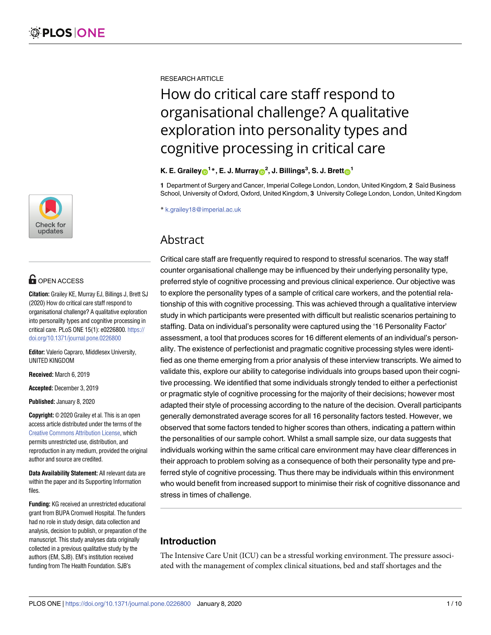

## **OPEN ACCESS**

**Citation:** Grailey KE, Murray EJ, Billings J, Brett SJ (2020) How do critical care staff respond to organisational challenge? A qualitative exploration into personality types and cognitive processing in critical care. PLoS ONE 15(1): e0226800. [https://](https://doi.org/10.1371/journal.pone.0226800) [doi.org/10.1371/journal.pone.0226800](https://doi.org/10.1371/journal.pone.0226800)

**Editor:** Valerio Capraro, Middlesex University, UNITED KINGDOM

**Received:** March 6, 2019

**Accepted:** December 3, 2019

**Published:** January 8, 2020

**Copyright:** © 2020 Grailey et al. This is an open access article distributed under the terms of the Creative Commons [Attribution](http://creativecommons.org/licenses/by/4.0/) License, which permits unrestricted use, distribution, and reproduction in any medium, provided the original author and source are credited.

**Data Availability Statement:** All relevant data are within the paper and its Supporting Information files.

**Funding:** KG received an unrestricted educational grant from BUPA Cromwell Hospital. The funders had no role in study design, data collection and analysis, decision to publish, or preparation of the manuscript. This study analyses data originally collected in a previous qualitative study by the authors (EM, SJB). EM's institution received funding from The Health Foundation. SJB's

RESEARCH ARTICLE

# How do critical care staff respond to organisational challenge? A qualitative exploration into personality types and cognitive processing in critical care

## $\mathbf{K}$ . **E.** Grailey $\mathbf{O}^{1*}$ , **E.** J. Murray $\mathbf{O}^{2}$ , J. Billings $^{3}$ , S. J. Brett $\mathbf{O}^{1}$

**1** Department of Surgery and Cancer, Imperial College London, London, United Kingdom, **2** Saïd Business School, University of Oxford, Oxford, United Kingdom, **3** University College London, London, United Kingdom

\* k.grailey18@imperial.ac.uk

## Abstract

Critical care staff are frequently required to respond to stressful scenarios. The way staff counter organisational challenge may be influenced by their underlying personality type, preferred style of cognitive processing and previous clinical experience. Our objective was to explore the personality types of a sample of critical care workers, and the potential relationship of this with cognitive processing. This was achieved through a qualitative interview study in which participants were presented with difficult but realistic scenarios pertaining to staffing. Data on individual's personality were captured using the '16 Personality Factor' assessment, a tool that produces scores for 16 different elements of an individual's personality. The existence of perfectionist and pragmatic cognitive processing styles were identified as one theme emerging from a prior analysis of these interview transcripts. We aimed to validate this, explore our ability to categorise individuals into groups based upon their cognitive processing. We identified that some individuals strongly tended to either a perfectionist or pragmatic style of cognitive processing for the majority of their decisions; however most adapted their style of processing according to the nature of the decision. Overall participants generally demonstrated average scores for all 16 personality factors tested. However, we observed that some factors tended to higher scores than others, indicating a pattern within the personalities of our sample cohort. Whilst a small sample size, our data suggests that individuals working within the same critical care environment may have clear differences in their approach to problem solving as a consequence of both their personality type and preferred style of cognitive processing. Thus there may be individuals within this environment who would benefit from increased support to minimise their risk of cognitive dissonance and stress in times of challenge.

## **Introduction**

The Intensive Care Unit (ICU) can be a stressful working environment. The pressure associated with the management of complex clinical situations, bed and staff shortages and the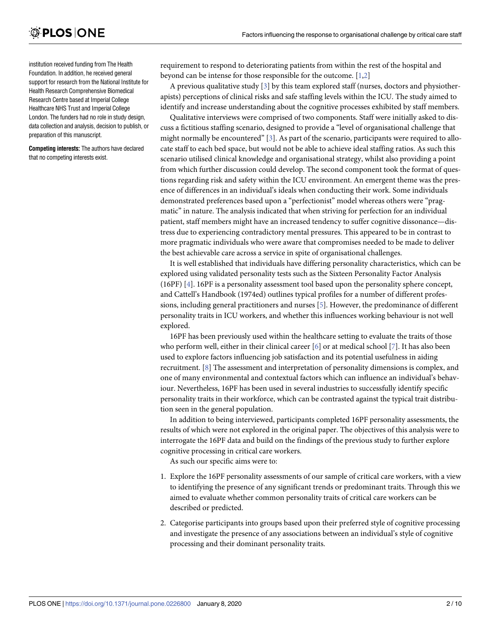<span id="page-1-0"></span>institution received funding from The Health Foundation. In addition, he received general support for research from the National Institute for Health Research Comprehensive Biomedical Research Centre based at Imperial College Healthcare NHS Trust and Imperial College London. The funders had no role in study design, data collection and analysis, decision to publish, or preparation of this manuscript.

**Competing interests:** The authors have declared that no competing interests exist.

requirement to respond to deteriorating patients from within the rest of the hospital and beyond can be intense for those responsible for the outcome. [[1,2\]](#page-9-0)

A previous qualitative study [[3](#page-9-0)] by this team explored staff (nurses, doctors and physiotherapists) perceptions of clinical risks and safe staffing levels within the ICU. The study aimed to identify and increase understanding about the cognitive processes exhibited by staff members.

Qualitative interviews were comprised of two components. Staff were initially asked to discuss a fictitious staffing scenario, designed to provide a "level of organisational challenge that might normally be encountered" [\[3](#page-9-0)]. As part of the scenario, participants were required to allocate staff to each bed space, but would not be able to achieve ideal staffing ratios. As such this scenario utilised clinical knowledge and organisational strategy, whilst also providing a point from which further discussion could develop. The second component took the format of questions regarding risk and safety within the ICU environment. An emergent theme was the presence of differences in an individual's ideals when conducting their work. Some individuals demonstrated preferences based upon a "perfectionist" model whereas others were "pragmatic" in nature. The analysis indicated that when striving for perfection for an individual patient, staff members might have an increased tendency to suffer cognitive dissonance—distress due to experiencing contradictory mental pressures. This appeared to be in contrast to more pragmatic individuals who were aware that compromises needed to be made to deliver the best achievable care across a service in spite of organisational challenges.

It is well established that individuals have differing personality characteristics, which can be explored using validated personality tests such as the Sixteen Personality Factor Analysis (16PF) [[4\]](#page-9-0). 16PF is a personality assessment tool based upon the personality sphere concept, and Cattell's Handbook (1974ed) outlines typical profiles for a number of different professions, including general practitioners and nurses [[5](#page-9-0)]. However, the predominance of different personality traits in ICU workers, and whether this influences working behaviour is not well explored.

16PF has been previously used within the healthcare setting to evaluate the traits of those who perform well, either in their clinical career  $[6]$  $[6]$  $[6]$  or at medical school  $[7]$  $[7]$ . It has also been used to explore factors influencing job satisfaction and its potential usefulness in aiding recruitment. [[8](#page-9-0)] The assessment and interpretation of personality dimensions is complex, and one of many environmental and contextual factors which can influence an individual's behaviour. Nevertheless, 16PF has been used in several industries to successfully identify specific personality traits in their workforce, which can be contrasted against the typical trait distribution seen in the general population.

In addition to being interviewed, participants completed 16PF personality assessments, the results of which were not explored in the original paper. The objectives of this analysis were to interrogate the 16PF data and build on the findings of the previous study to further explore cognitive processing in critical care workers.

As such our specific aims were to:

- 1. Explore the 16PF personality assessments of our sample of critical care workers, with a view to identifying the presence of any significant trends or predominant traits. Through this we aimed to evaluate whether common personality traits of critical care workers can be described or predicted.
- 2. Categorise participants into groups based upon their preferred style of cognitive processing and investigate the presence of any associations between an individual's style of cognitive processing and their dominant personality traits.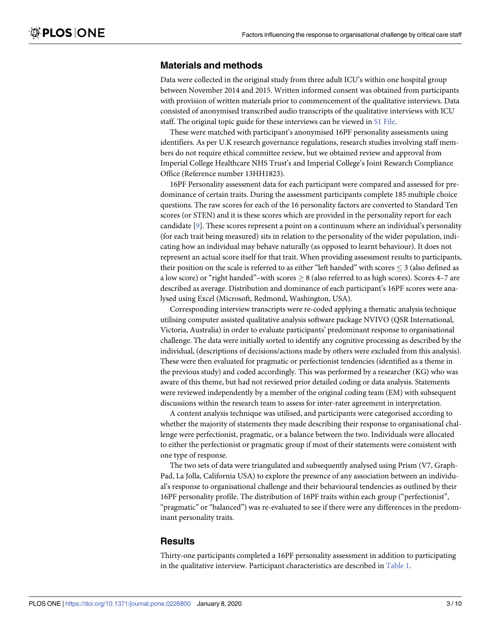## <span id="page-2-0"></span>**Materials and methods**

Data were collected in the original study from three adult ICU's within one hospital group between November 2014 and 2015. Written informed consent was obtained from participants with provision of written materials prior to commencement of the qualitative interviews. Data consisted of anonymised transcribed audio transcripts of the qualitative interviews with ICU staff. The original topic guide for these interviews can be viewed in S1 [File.](#page-8-0)

These were matched with participant's anonymised 16PF personality assessments using identifiers. As per U.K research governance regulations, research studies involving staff members do not require ethical committee review, but we obtained review and approval from Imperial College Healthcare NHS Trust's and Imperial College's Joint Research Compliance Office (Reference number 13HH1823).

16PF Personality assessment data for each participant were compared and assessed for predominance of certain traits. During the assessment participants complete 185 multiple choice questions. The raw scores for each of the 16 personality factors are converted to Standard Ten scores (or STEN) and it is these scores which are provided in the personality report for each candidate [\[9](#page-9-0)]. These scores represent a point on a continuum where an individual's personality (for each trait being measured) sits in relation to the personality of the wider population, indicating how an individual may behave naturally (as opposed to learnt behaviour). It does not represent an actual score itself for that trait. When providing assessment results to participants, their position on the scale is referred to as either "left handed" with scores  $\leq$  3 (also defined as a low score) or "right handed"–with scores  $\geq 8$  (also referred to as high scores). Scores 4–7 are described as average. Distribution and dominance of each participant's 16PF scores were analysed using Excel (Microsoft, Redmond, Washington, USA).

Corresponding interview transcripts were re-coded applying a thematic analysis technique utilising computer assisted qualitative analysis software package NVIVO (QSR International, Victoria, Australia) in order to evaluate participants' predominant response to organisational challenge. The data were initially sorted to identify any cognitive processing as described by the individual, (descriptions of decisions/actions made by others were excluded from this analysis). These were then evaluated for pragmatic or perfectionist tendencies (identified as a theme in the previous study) and coded accordingly. This was performed by a researcher (KG) who was aware of this theme, but had not reviewed prior detailed coding or data analysis. Statements were reviewed independently by a member of the original coding team (EM) with subsequent discussions within the research team to assess for inter-rater agreement in interpretation.

A content analysis technique was utilised, and participants were categorised according to whether the majority of statements they made describing their response to organisational challenge were perfectionist, pragmatic, or a balance between the two. Individuals were allocated to either the perfectionist or pragmatic group if most of their statements were consistent with one type of response.

The two sets of data were triangulated and subsequently analysed using Prism (V7, Graph-Pad, La Jolla, California USA) to explore the presence of any association between an individual's response to organisational challenge and their behavioural tendencies as outlined by their 16PF personality profile. The distribution of 16PF traits within each group ("perfectionist", "pragmatic" or "balanced") was re-evaluated to see if there were any differences in the predominant personality traits.

### **Results**

Thirty-one participants completed a 16PF personality assessment in addition to participating in the qualitative interview. Participant characteristics are described in [Table](#page-3-0) 1.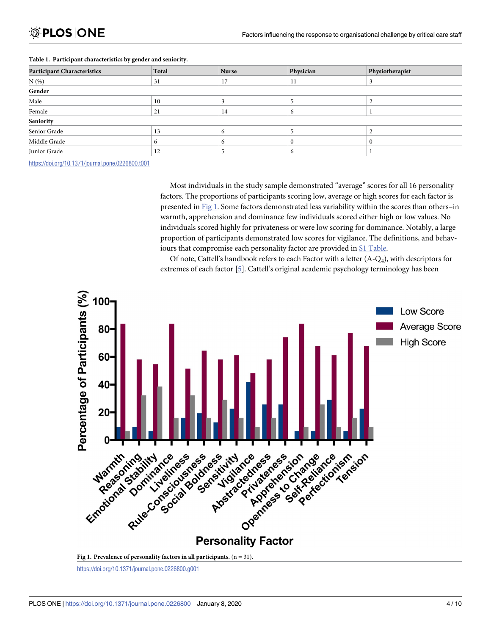| <b>Participant Characteristics</b> | Total   | Nurse | Physician | Physiotherapist |  |
|------------------------------------|---------|-------|-----------|-----------------|--|
| N(%)                               | 31      | 17    | 11        |                 |  |
| Gender                             |         |       |           |                 |  |
| Male                               | 10      |       |           |                 |  |
| Female                             | 21      | 14    | o         |                 |  |
| Seniority                          |         |       |           |                 |  |
| Senior Grade                       | 13      |       |           |                 |  |
| Middle Grade                       | $\circ$ |       |           |                 |  |
| Junior Grade                       | 12      |       | O         |                 |  |

#### <span id="page-3-0"></span>**[Table](#page-2-0) 1. Participant characteristics by gender and seniority.**

<https://doi.org/10.1371/journal.pone.0226800.t001>

Most individuals in the study sample demonstrated "average" scores for all 16 personality factors. The proportions of participants scoring low, average or high scores for each factor is presented in Fig 1. Some factors demonstrated less variability within the scores than others–in warmth, apprehension and dominance few individuals scored either high or low values. No individuals scored highly for privateness or were low scoring for dominance. Notably, a large proportion of participants demonstrated low scores for vigilance. The definitions, and behaviours that compromise each personality factor are provided in S1 [Table.](#page-8-0)

Of note, Cattell's handbook refers to each Factor with a letter  $(A-Q_4)$ , with descriptors for extremes of each factor [[5](#page-9-0)]. Cattell's original academic psychology terminology has been



<https://doi.org/10.1371/journal.pone.0226800.g001>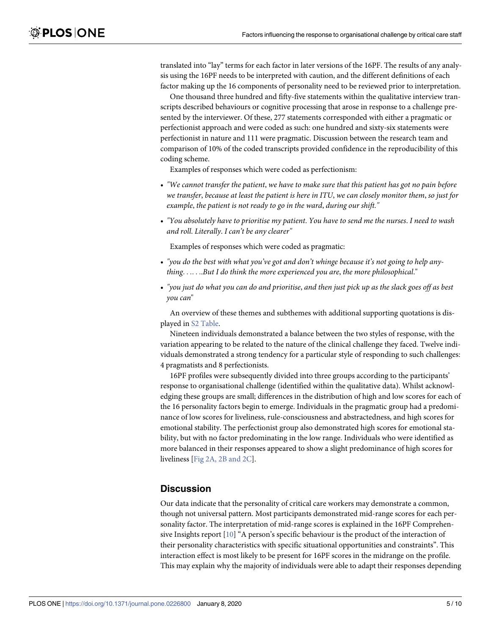<span id="page-4-0"></span>translated into "lay" terms for each factor in later versions of the 16PF. The results of any analysis using the 16PF needs to be interpreted with caution, and the different definitions of each factor making up the 16 components of personality need to be reviewed prior to interpretation.

One thousand three hundred and fifty-five statements within the qualitative interview transcripts described behaviours or cognitive processing that arose in response to a challenge presented by the interviewer. Of these, 277 statements corresponded with either a pragmatic or perfectionist approach and were coded as such: one hundred and sixty-six statements were perfectionist in nature and 111 were pragmatic. Discussion between the research team and comparison of 10% of the coded transcripts provided confidence in the reproducibility of this coding scheme.

Examples of responses which were coded as perfectionism:

- *"We cannot transfer the patient*, *we have to make sure that this patient has got no pain before* we transfer, because at least the patient is here in ITU, we can closely monitor them, so just for *example*, *the patient is not ready to go in the ward*, *during our shift."*
- *"You absolutely have to prioritise my patient*. *You have to send me the nurses*. *I need to wash and roll*. *Literally*. *I can't be any clearer"*

Examples of responses which were coded as pragmatic:

- *"you do the best with what you've got and don't whinge because it's not going to help anything*. . .. . ..*But I do think the more experienced you are*, *the more philosophical*."
- "you just do what you can do and prioritise, and then just pick up as the slack goes off as best *you can*"

An overview of these themes and subthemes with additional supporting quotations is displayed in S2 [Table.](#page-8-0)

Nineteen individuals demonstrated a balance between the two styles of response, with the variation appearing to be related to the nature of the clinical challenge they faced. Twelve individuals demonstrated a strong tendency for a particular style of responding to such challenges: 4 pragmatists and 8 perfectionists.

16PF profiles were subsequently divided into three groups according to the participants' response to organisational challenge (identified within the qualitative data). Whilst acknowledging these groups are small; differences in the distribution of high and low scores for each of the 16 personality factors begin to emerge. Individuals in the pragmatic group had a predominance of low scores for liveliness, rule-consciousness and abstractedness, and high scores for emotional stability. The perfectionist group also demonstrated high scores for emotional stability, but with no factor predominating in the low range. Individuals who were identified as more balanced in their responses appeared to show a slight predominance of high scores for liveliness [Fig 2A, 2B [and](#page-5-0) 2C].

## **Discussion**

Our data indicate that the personality of critical care workers may demonstrate a common, though not universal pattern. Most participants demonstrated mid-range scores for each personality factor. The interpretation of mid-range scores is explained in the 16PF Comprehensive Insights report [[10](#page-9-0)] "A person's specific behaviour is the product of the interaction of their personality characteristics with specific situational opportunities and constraints". This interaction effect is most likely to be present for 16PF scores in the midrange on the profile. This may explain why the majority of individuals were able to adapt their responses depending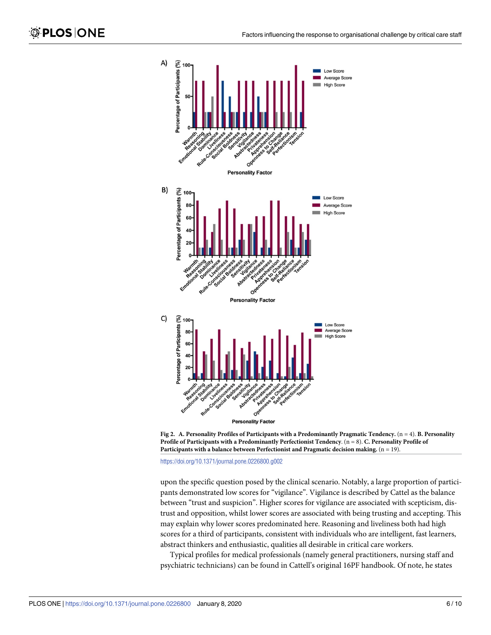<span id="page-5-0"></span>



<https://doi.org/10.1371/journal.pone.0226800.g002>

upon the specific question posed by the clinical scenario. Notably, a large proportion of participants demonstrated low scores for "vigilance". Vigilance is described by Cattel as the balance between "trust and suspicion". Higher scores for vigilance are associated with scepticism, distrust and opposition, whilst lower scores are associated with being trusting and accepting. This may explain why lower scores predominated here. Reasoning and liveliness both had high scores for a third of participants, consistent with individuals who are intelligent, fast learners, abstract thinkers and enthusiastic, qualities all desirable in critical care workers.

Typical profiles for medical professionals (namely general practitioners, nursing staff and psychiatric technicians) can be found in Cattell's original 16PF handbook. Of note, he states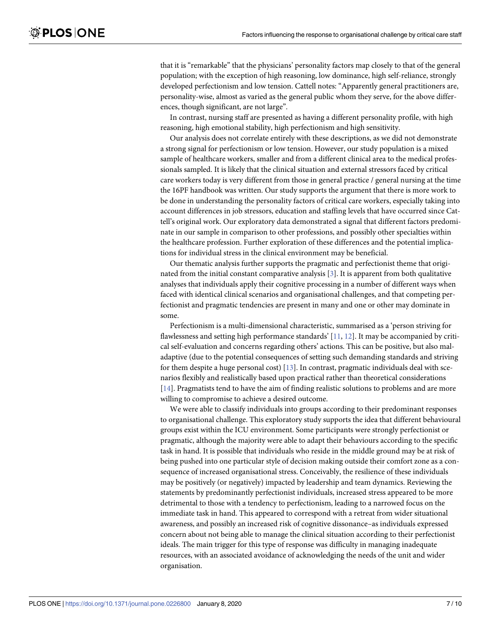<span id="page-6-0"></span>that it is "remarkable" that the physicians' personality factors map closely to that of the general population; with the exception of high reasoning, low dominance, high self-reliance, strongly developed perfectionism and low tension. Cattell notes: "Apparently general practitioners are, personality-wise, almost as varied as the general public whom they serve, for the above differences, though significant, are not large".

In contrast, nursing staff are presented as having a different personality profile, with high reasoning, high emotional stability, high perfectionism and high sensitivity.

Our analysis does not correlate entirely with these descriptions, as we did not demonstrate a strong signal for perfectionism or low tension. However, our study population is a mixed sample of healthcare workers, smaller and from a different clinical area to the medical professionals sampled. It is likely that the clinical situation and external stressors faced by critical care workers today is very different from those in general practice / general nursing at the time the 16PF handbook was written. Our study supports the argument that there is more work to be done in understanding the personality factors of critical care workers, especially taking into account differences in job stressors, education and staffing levels that have occurred since Cattell's original work. Our exploratory data demonstrated a signal that different factors predominate in our sample in comparison to other professions, and possibly other specialties within the healthcare profession. Further exploration of these differences and the potential implications for individual stress in the clinical environment may be beneficial.

Our thematic analysis further supports the pragmatic and perfectionist theme that originated from the initial constant comparative analysis [[3](#page-9-0)]. It is apparent from both qualitative analyses that individuals apply their cognitive processing in a number of different ways when faced with identical clinical scenarios and organisational challenges, and that competing perfectionist and pragmatic tendencies are present in many and one or other may dominate in some.

Perfectionism is a multi-dimensional characteristic, summarised as a 'person striving for flawlessness and setting high performance standards' [[11](#page-9-0), [12](#page-9-0)]. It may be accompanied by critical self-evaluation and concerns regarding others' actions. This can be positive, but also maladaptive (due to the potential consequences of setting such demanding standards and striving for them despite a huge personal cost) [\[13\]](#page-9-0). In contrast, pragmatic individuals deal with scenarios flexibly and realistically based upon practical rather than theoretical considerations [\[14\]](#page-9-0). Pragmatists tend to have the aim of finding realistic solutions to problems and are more willing to compromise to achieve a desired outcome.

We were able to classify individuals into groups according to their predominant responses to organisational challenge. This exploratory study supports the idea that different behavioural groups exist within the ICU environment. Some participants were strongly perfectionist or pragmatic, although the majority were able to adapt their behaviours according to the specific task in hand. It is possible that individuals who reside in the middle ground may be at risk of being pushed into one particular style of decision making outside their comfort zone as a consequence of increased organisational stress. Conceivably, the resilience of these individuals may be positively (or negatively) impacted by leadership and team dynamics. Reviewing the statements by predominantly perfectionist individuals, increased stress appeared to be more detrimental to those with a tendency to perfectionism, leading to a narrowed focus on the immediate task in hand. This appeared to correspond with a retreat from wider situational awareness, and possibly an increased risk of cognitive dissonance–as individuals expressed concern about not being able to manage the clinical situation according to their perfectionist ideals. The main trigger for this type of response was difficulty in managing inadequate resources, with an associated avoidance of acknowledging the needs of the unit and wider organisation.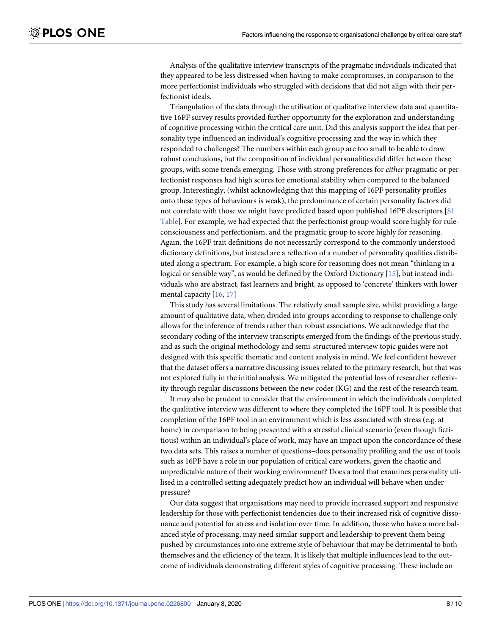<span id="page-7-0"></span>Analysis of the qualitative interview transcripts of the pragmatic individuals indicated that they appeared to be less distressed when having to make compromises, in comparison to the more perfectionist individuals who struggled with decisions that did not align with their perfectionist ideals.

Triangulation of the data through the utilisation of qualitative interview data and quantitative 16PF survey results provided further opportunity for the exploration and understanding of cognitive processing within the critical care unit. Did this analysis support the idea that personality type influenced an individual's cognitive processing and the way in which they responded to challenges? The numbers within each group are too small to be able to draw robust conclusions, but the composition of individual personalities did differ between these groups, with some trends emerging. Those with strong preferences for *either* pragmatic or perfectionist responses had high scores for emotional stability when compared to the balanced group. Interestingly, (whilst acknowledging that this mapping of 16PF personality profiles onto these types of behaviours is weak), the predominance of certain personality factors did not correlate with those we might have predicted based upon published 16PF descriptors [[S1](#page-8-0) [Table](#page-8-0)]. For example, we had expected that the perfectionist group would score highly for ruleconsciousness and perfectionism, and the pragmatic group to score highly for reasoning. Again, the 16PF trait definitions do not necessarily correspond to the commonly understood dictionary definitions, but instead are a reflection of a number of personality qualities distributed along a spectrum. For example, a high score for reasoning does not mean "thinking in a logical or sensible way", as would be defined by the Oxford Dictionary [\[15\]](#page-9-0), but instead individuals who are abstract, fast learners and bright, as opposed to 'concrete' thinkers with lower mental capacity [\[16,](#page-9-0) [17\]](#page-9-0)

This study has several limitations. The relatively small sample size, whilst providing a large amount of qualitative data, when divided into groups according to response to challenge only allows for the inference of trends rather than robust associations. We acknowledge that the secondary coding of the interview transcripts emerged from the findings of the previous study, and as such the original methodology and semi-structured interview topic guides were not designed with this specific thematic and content analysis in mind. We feel confident however that the dataset offers a narrative discussing issues related to the primary research, but that was not explored fully in the initial analysis. We mitigated the potential loss of researcher reflexivity through regular discussions between the new coder (KG) and the rest of the research team.

It may also be prudent to consider that the environment in which the individuals completed the qualitative interview was different to where they completed the 16PF tool. It is possible that completion of the 16PF tool in an environment which is less associated with stress (e.g. at home) in comparison to being presented with a stressful clinical scenario (even though fictitious) within an individual's place of work, may have an impact upon the concordance of these two data sets. This raises a number of questions–does personality profiling and the use of tools such as 16PF have a role in our population of critical care workers, given the chaotic and unpredictable nature of their working environment? Does a tool that examines personality utilised in a controlled setting adequately predict how an individual will behave when under pressure?

Our data suggest that organisations may need to provide increased support and responsive leadership for those with perfectionist tendencies due to their increased risk of cognitive dissonance and potential for stress and isolation over time. In addition, those who have a more balanced style of processing, may need similar support and leadership to prevent them being pushed by circumstances into one extreme style of behaviour that may be detrimental to both themselves and the efficiency of the team. It is likely that multiple influences lead to the outcome of individuals demonstrating different styles of cognitive processing. These include an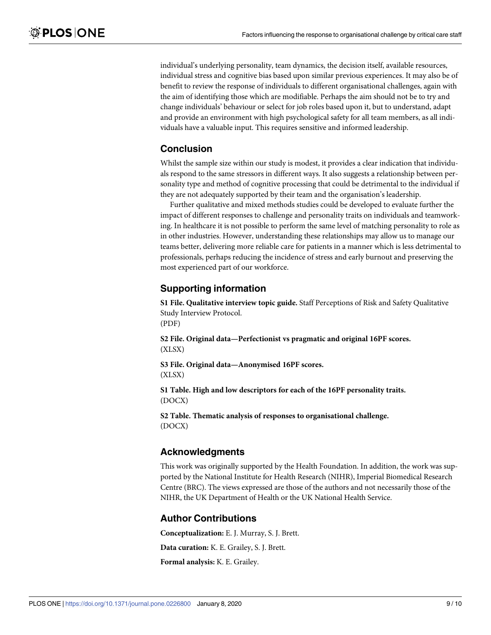<span id="page-8-0"></span>individual's underlying personality, team dynamics, the decision itself, available resources, individual stress and cognitive bias based upon similar previous experiences. It may also be of benefit to review the response of individuals to different organisational challenges, again with the aim of identifying those which are modifiable. Perhaps the aim should not be to try and change individuals' behaviour or select for job roles based upon it, but to understand, adapt and provide an environment with high psychological safety for all team members, as all individuals have a valuable input. This requires sensitive and informed leadership.

## **Conclusion**

Whilst the sample size within our study is modest, it provides a clear indication that individuals respond to the same stressors in different ways. It also suggests a relationship between personality type and method of cognitive processing that could be detrimental to the individual if they are not adequately supported by their team and the organisation's leadership.

Further qualitative and mixed methods studies could be developed to evaluate further the impact of different responses to challenge and personality traits on individuals and teamworking. In healthcare it is not possible to perform the same level of matching personality to role as in other industries. However, understanding these relationships may allow us to manage our teams better, delivering more reliable care for patients in a manner which is less detrimental to professionals, perhaps reducing the incidence of stress and early burnout and preserving the most experienced part of our workforce.

## **Supporting information**

**S1 [File.](http://www.plosone.org/article/fetchSingleRepresentation.action?uri=info:doi/10.1371/journal.pone.0226800.s001) Qualitative interview topic guide.** Staff Perceptions of Risk and Safety Qualitative Study Interview Protocol. (PDF)

**S2 [File.](http://www.plosone.org/article/fetchSingleRepresentation.action?uri=info:doi/10.1371/journal.pone.0226800.s002) Original data—Perfectionist vs pragmatic and original 16PF scores.** (XLSX)

**S3 [File.](http://www.plosone.org/article/fetchSingleRepresentation.action?uri=info:doi/10.1371/journal.pone.0226800.s003) Original data—Anonymised 16PF scores.** (XLSX)

**S1 [Table.](http://www.plosone.org/article/fetchSingleRepresentation.action?uri=info:doi/10.1371/journal.pone.0226800.s004) High and low descriptors for each of the 16PF personality traits.** (DOCX)

**S2 [Table.](http://www.plosone.org/article/fetchSingleRepresentation.action?uri=info:doi/10.1371/journal.pone.0226800.s005) Thematic analysis of responses to organisational challenge.** (DOCX)

## **Acknowledgments**

This work was originally supported by the Health Foundation. In addition, the work was supported by the National Institute for Health Research (NIHR), Imperial Biomedical Research Centre (BRC). The views expressed are those of the authors and not necessarily those of the NIHR, the UK Department of Health or the UK National Health Service.

### **Author Contributions**

**Conceptualization:** E. J. Murray, S. J. Brett. **Data curation:** K. E. Grailey, S. J. Brett. **Formal analysis:** K. E. Grailey.